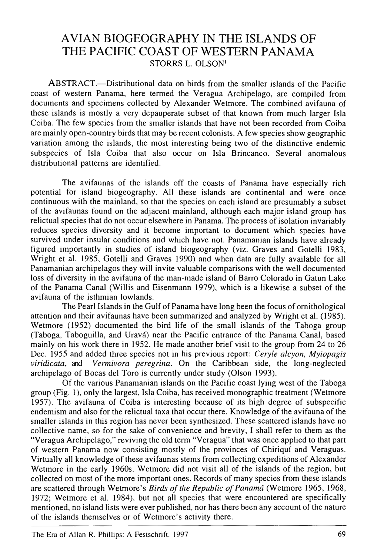## **AVIAN BIOGEOGRAPHY IN THE ISLANDS OF THE PACIFIC COAST OF WESTERN PANAMA** STORRS L. OLSON1

ABSTRACT.—Distributional data on birds from the smaller islands of the Pacific coast of western Panama, here termed the Veragua Archipelago, are compiled from documents and specimens collected by Alexander Wetmore. The combined avifauna of these islands is mostly a very depauperate subset of that known from much larger Isla Coiba. The few species from the smaller islands that have not been recorded from Coiba are mainly open-country birds that may be recent colonists. A few species show geographic variation among the islands, the most interesting being two of the distinctive endemic subspecies of Isla Coiba that also occur on Isla Brincanco. Several anomalous distributional patterns are identified.

The avifaunas of the islands off the coasts of Panama have especially rich potential for island biogeography. All these islands are continental and were once continuous with the mainland, so that the species on each island are presumably a subset of the avifaunas found on the adjacent mainland, although each major island group has relictual species that do not occur elsewhere in Panama. The process of isolation invariably reduces species diversity and it become important to document which species have survived under insular conditions and which have not. Panamanian islands have already figured importantly in studies of island biogeography (viz. Graves and Gotelli 1983; Wright *et al.* 1985; Gotelli and Graves 1990) and when data are fully available for all Panamanian archipelagos they will invite valuable comparisons with the well documented loss of diversity in the avifauna of the man-made island of Barro Colorado in Gatun Lake of the Panama Canal (Willis and Eisenmann 1979), which is a likewise a subset of the avifauna of the isthmian lowlands.

The Pearl Islands in the Gulf of Panama have long been the focus of ornithological attention and their avifaunas have been summarized and analyzed by Wright *et al.* (1985). Wetmore (1952) documented the bird life of the small islands of the Taboga group (Taboga, Taboguilla, and Uravá) near the Pacific entrance of the Panama Canal, based mainly on his work there in 1952. He made another brief visit to the group from 24 to 26 Dec. 1955 and added three species not in his previous report: *Ceryle alcyon, Myiopagis viridicata*, and *Vermivora peregrina*. On the Caribbean side, the long-neglected archipelago of Bocas del Toro is currently under study (Olson 1993).

Of the various Panamanian islands on the Pacific coast lying west of the Taboga group (Fig. 1), only the largest, Isla Coiba, has received monographic treatment (Wetmore 1957). The avifauna of Coiba is interesting because of its high degree of subspecific endemism and also for the relictual taxa that occur there. Knowledge of the avifauna of the smaller islands in this region has never been synthesized. These scattered islands have no collective name, so for the sake of convenience and brevity, I shall refer to them as the "Veragua Archipelago," reviving the old term "Veragua" that was once applied to that part of western Panama now consisting mostly of the provinces of Chiriquí and Veraguas. Virtually all knowledge of these avifaunas stems from collecting expeditions of Alexander Wetmore in the early 1960s. Wetmore did not visit all of the islands of the region, but collected on most of the more important ones. Records of many species from these islands are scattered through Wetmore's *Birds of the Republic of Panamá* (Wetmore 1965, 1968, 1972; Wetmore *et al.* 1984), but not all species that were encountered are specifically mentioned, no island lists were ever published, nor has there been any account of the nature of the islands themselves or of Wetmore's activity there.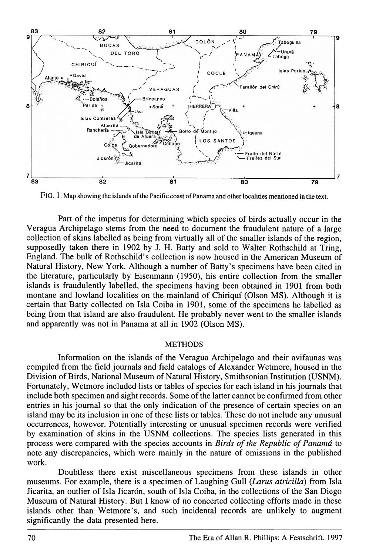

**Fig . 1.** Map showing the islands of the Pacific coast of Panama and other localities mentioned in the text.

Part of the impetus for determining which species of birds actually occur in the Veragua Archipelago stems from the need to document the fraudulent nature of a large collection of skins labeled as being from virtually all of the smaller islands of the region, supposedly taken there in 1902 by J. H. Batty and sold to Walter Rothschild at Tring, England. The bulk of Rothschild's collection is now housed in the American Museum of Natural History, New York. Although a number of Batty's specimens have been cited in the literature, particularly by Eisenmann (1950), his entire collection from the smaller islands is fraudulently labeled, the specimens having been obtained in 1901 from both montane and lowland localities on the mainland of Chiriquí (Olson MS). Although it is certain that Batty collected on Isla Coiba in 1901, some of the specimens he labeled as being from that island are also fraudulent. He probably never went to the smaller islands and apparently was not in Panama at all in 1902 (Olson MS).

#### **METHODS**

Information on the islands of the Veragua Archipelago and their avifaunas was compiled from the field journals and field catalogs of Alexander Wetmore, housed in the Division of Birds, National Museum of Natural History, Smithsonian Institution (USNM). Fortunately, Wetmore included lists or tables of species for each island in his journals that include both specimen and sight records. Some of the latter cannot be confirmed from other entries in his journal so that the only indication of the presence of certain species on an island may be its inclusion in one of these lists or tables. These do not include any unusual occurrences, however. Potentially interesting or unusual specimen records were verified by examination of skins in the USNM collections. The species lists generated in this process were compared with the species accounts in *Birds of the Republic of Panamá* to note any discrepancies, which were mainly in the nature of omissions in the published work.

Doubtless there exist miscellaneous specimens from these islands in other museums. For example, there is a specimen of Laughing Gull (*Larus atricilla*) from Isla Jicarita, an outlier of Isla Jicarón, south of Isla Coiba, in the collections of the San Diego Museum of Natural History. But I know of no concerted collecting efforts made in these islands other than Wetmore's, and such incidental records are unlikely to augment significantly the data presented here.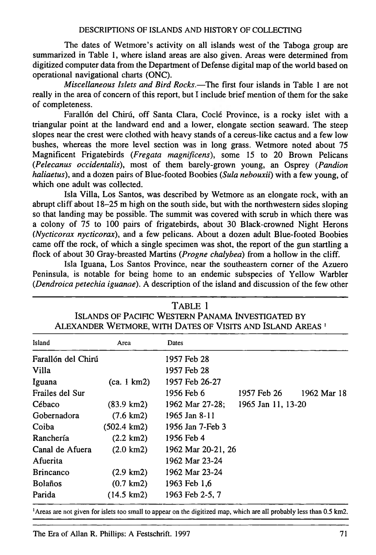The dates of Wetmore's activity on all islands west of the Taboga group are summarized in Table 1, where island areas are also given. Areas were determined from digitized computer data from the Department of Defense digital map of the world based on operational navigational charts (ONC).

*Miscellaneous Islets and Bird Rocks.* — The first four islands in Table 1 are not really in the area of concern of this report, but I include brief mention of them for the sake of completeness.

Farallón del Chirú, off Santa Clara, Coclé Province, is a rocky islet with a triangular point at the landward end and a lower, elongate section seaward. The steep slopes near the crest were clothed with heavy stands of a cereus-like cactus and a few low bushes, whereas the more level section was in long grass. Wetmore noted about 75 Magnificent Frigatebirds (*Fregata magnifícens*), some 15 to 20 Brown Pelicans (*Pelecanus occidentalis*), most of them barely grown young, an Osprey (*Pandion haliaetus*), and a dozen pairs of Blue-footed Boobies (*Sula nebouxii*) with a few young, of which one adult was collected.

Isla Villa, Los Santos, was described by Wetmore as an elongate rock, with an abrupt cliff about 18–25 m high on the south side, but with the northwestern sides sloping so that landing may be possible. The summit was covered with scrub in which there was a colony of 75 to 100 pairs of Frigatebirds, about 30 Black-crowned Night- Herons (*Nycticorax nycticorax*), and a few pelicans. About a dozen adult Blue-footed Boobies came off the rock, of which a single specimen was shot, the report of the gun startling a flock of about 30 Gray-breasted Martins (*Progne chalybea*) from a hollow in the cliff.

Isla Iguana, Los Santos Province, near the southeastern corner of the Azuero Peninsula, is notable for being home to an endemic subspecies of Yellow Warbler (*Dendroica petechia iguanae*). A description of the island and discussion of the few other

| ALEXANDER WEIMORE, WITH DATES OF VISITS AND ISLAND AREAS ' |                       |                    |                    |             |  |  |  |
|------------------------------------------------------------|-----------------------|--------------------|--------------------|-------------|--|--|--|
| Island                                                     | Area                  | Dates              |                    |             |  |  |  |
| Farallón del Chirú                                         |                       | 1957 Feb 28        |                    |             |  |  |  |
| Villa                                                      |                       | 1957 Feb 28        |                    |             |  |  |  |
| Iguana                                                     | (ca. 1 km2)           | 1957 Feb 26-27     |                    |             |  |  |  |
| Frailes del Sur                                            |                       | 1956 Feb 6         | 1957 Feb 26        | 1962 Mar 18 |  |  |  |
| Cébaco                                                     | $(83.9 \text{ km2})$  | 1962 Mar 27-28:    | 1965 Jan 11, 13-20 |             |  |  |  |
| Gobernadora                                                | $(7.6 \text{ km2})$   | 1965 Jan 8-11      |                    |             |  |  |  |
| Coiba                                                      | $(502.4 \text{ km2})$ | 1956 Jan 7-Feb 3   |                    |             |  |  |  |
| Ranchería                                                  | $(2.2 \text{ km2})$   | 1956 Feb 4         |                    |             |  |  |  |
| Canal de Afuera                                            | $(2.0 \text{ km2})$   | 1962 Mar 20-21, 26 |                    |             |  |  |  |
| Afuerita                                                   |                       | 1962 Mar 23-24     |                    |             |  |  |  |
| <b>Brincanco</b>                                           | $(2.9 \text{ km2})$   | 1962 Mar 23-24     |                    |             |  |  |  |
| <b>Bolaños</b>                                             | $(0.7 \text{ km2})$   | 1963 Feb 1.6       |                    |             |  |  |  |
| Parida                                                     | $(14.5 \text{ km2})$  | 1963 Feb 2-5, 7    |                    |             |  |  |  |

**TABLE 1** ISLANDS OF PACIFIC WESTERN PANAMA INVESTIGATED BY  $R_{\text{max}}$   $\sum_{i} R_{\text{max}}$ 

<sup>1</sup> Areas are not given for islets too small to appear on the digitized map, which are all probably less than 0.5 km2.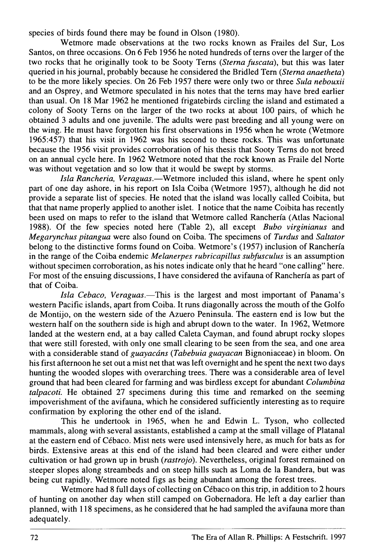species of birds found there may be found in Olson (1980).

Wetmore made observations at the two rocks known as Frailes del Sur, Los Santos, on three occasions. On 6 Feb 1956 he noted hundreds of terns over the larger of the two rocks that he originally took to be Sooty Terns (*Sterna fuscata*), but this was later queried in his journal, probably because he considered the Bridled Tern (*Sterna anaetheta*) to be the more likely species. On 26 Feb 1957 there were only two or three *Sula nebouxii* and an Osprey, and Wetmore speculated in his notes that the terns may have bred earlier than usual. On 18 Mar 1962 he mentioned Frigatebirds circling the island and estimated a colony of Sooty Terns on the larger of the two rocks at about 100 pairs, of which he obtained 3 adults and one juvenile. The adults were past breeding and all young were on the wing. He must have forgotten his first observations in 1956 when he wrote (Wetmore 1965:457) that his visit in 1962 was his second to these rocks. This was unfortunate because the 1956 visit provides corroboration of his thesis that Sooty Terns do not breed on an annual cycle here. In 1962 Wetmore noted that the rock known as Fraile del Norte was without vegetation and so low that it would be swept by storms.

*Isla Rancherí a, Veraguas.* — Wetmore included this island, where he spent only part of one day ashore, in his report on Isla Coiba (Wetmore 1957), although he did not provide a separate list of species. He noted that the island was locally called Coibita, but that that name properly applied to another islet. I notice that the name *Coibita* has recently been used on maps to refer to the island that Wetmore called Ranchería (Atlas Nacional 1988). Of the few species noted here (Table 2), all except *Bubo virginianus* and *Megarynchus pitangua* were also found on Coiba. The specimens of *Turdus* and *Saltator* belong to the distinctive forms found on Coiba. Wetmore's (1957) inclusion of Ranchería in the range of the Coiba endemic *Melanerpes rubricapillus subfusculus* is an assumption without specimen corroboration, as his notes indicate only that he heard "one calling" here. For most of the ensuing discussions, I have considered the avifauna of Ranchería as part of that of Coiba.

*Isla Cebaco, Veraguas.* — This is the largest and most important of Panama's western Pacific islands, apart from Coiba. It runs diagonally across the mouth of the Golfo de Montijo, on the western side of the Azuero Peninsula. The eastern end is low but the western half on the southern side is high and abrupt down to the water. In 1962, Wetmore landed at the western end, at a bay called Caleta Cayman, and found abrupt rocky slopes that were still forested, with only one small clearing to be seen from the sea, and one area with a considerable stand of *guayacáns* (*Tabebuia guayacan* Bignoniaceae) in bloom. On his first afternoon he set out a mist net that was left overnight and he spent the next two days hunting the wooded slopes with overarching trees. There was a considerable area of level ground that had been cleared for farming and was birdless except for abundant *Columbina talpacoti*. He obtained 27 specimens during this time and remarked on the seeming impoverishment of the avifauna, which he considered sufficiently interesting as to require confirmation by exploring the other end of the island.

This he undertook in 1965, when he and Edwin L. Tyson, who collected mammals, along with several assistants, established a camp at the small village of Platanal at the eastern end of Cébaco. Mist nets were used intensively here, as much for bats as for birds. Extensive areas at this end of the island had been cleared and were either under cultivation or had grown up in brush (*rastrojo*). Nevertheless, original forest remained on steeper slopes along streambeds and on steep hills such as Loma de la Bandera, but was being cut rapidly. Wetmore noted figs as being abundant among the forest trees.

Wetmore had 8 full days of collecting on Cébaco on this trip, in addition to 2 hours of hunting on another day when still camped on Gobernadora. He left a day earlier than planned, with 118 specimens, as he considered that he had sampled the avifauna more than adequately.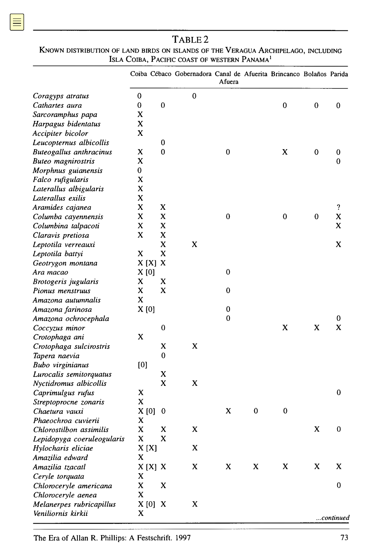# TABLE 2

## Known distribution of land birds on islands of the Veragua Archipelago, including ISLA COIBA, PACIFIC COAST OF WESTERN PANAMA<sup>1</sup>

|                            |          |             | Coiba Cébaco Gobernadora Canal de Afuerita Brincanco Bolaños Parida | Afuera      |          |             |          |              |
|----------------------------|----------|-------------|---------------------------------------------------------------------|-------------|----------|-------------|----------|--------------|
| Coragyps atratus           | 0        |             | $\bf{0}$                                                            |             |          |             |          |              |
| Cathartes aura             | 0        | $\mathbf 0$ |                                                                     |             |          | $\bf{0}$    | $\bf{0}$ | 0            |
| Sarcoramphus papa          | X        |             |                                                                     |             |          |             |          |              |
| Harpagus bidentatus        | X        |             |                                                                     |             |          |             |          |              |
| Accipiter bicolor          | X        |             |                                                                     |             |          |             |          |              |
| Leucopternus albicollis    |          | 0           |                                                                     |             |          |             |          |              |
| Buteogallus anthracinus    | X        | 0           |                                                                     | $\mathbf 0$ |          | X           | 0        | 0            |
| Buteo magnirostris         | X        |             |                                                                     |             |          |             |          | 0            |
| Morphnus guianensis        | 0        |             |                                                                     |             |          |             |          |              |
| Falco rufigularis          | X        |             |                                                                     |             |          |             |          |              |
| Laterallus albigularis     | X        |             |                                                                     |             |          |             |          |              |
| Laterallus exilis          | X        |             |                                                                     |             |          |             |          |              |
| Aramides cajanea           | X        | x           |                                                                     |             |          |             |          | Ĵ            |
| Columba cayennensis        | x        | X           |                                                                     | 0           |          | 0           | 0        | x            |
| Columbina talpacoti        | X        | X           |                                                                     |             |          |             |          | x            |
| Claravis pretiosa          | X        | X           |                                                                     |             |          |             |          |              |
| Leptotila verreauxi        |          | X           | X                                                                   |             |          |             |          | x            |
| Leptotila battyi           | X        | X           |                                                                     |             |          |             |          |              |
| Geotrygon montana          | X[X]X    |             |                                                                     |             |          |             |          |              |
| Ara macao                  | X[0]     |             |                                                                     | 0           |          |             |          |              |
| Brotogeris jugularis       | x        | x           |                                                                     |             |          |             |          |              |
| Pionus menstruus           | X        | X           |                                                                     | 0           |          |             |          |              |
| Amazona autumnalis         | X        |             |                                                                     |             |          |             |          |              |
| Amazona farinosa           | X [0]    |             |                                                                     | 0           |          |             |          |              |
| Amazona ochrocephala       |          |             |                                                                     | 0           |          |             |          | 0            |
|                            |          | $\mathbf 0$ |                                                                     |             |          | X           | X        | X            |
| Coccyzus minor             | X        |             |                                                                     |             |          |             |          |              |
| Crotophaga ani             |          | x           | X                                                                   |             |          |             |          |              |
| Crotophaga sulcirostris    |          | 0           |                                                                     |             |          |             |          |              |
| Tapera naevia              |          |             |                                                                     |             |          |             |          |              |
| Bubo virginianus           | [0]      |             |                                                                     |             |          |             |          |              |
| Lurocalis semitorquatus    |          | X<br>X      |                                                                     |             |          |             |          |              |
| Nyctidromus albicollis     |          |             | X                                                                   |             |          |             |          | 0            |
| Caprimulgus rufus          | X<br>X   |             |                                                                     |             |          |             |          |              |
| Streptoprocne zonaris      |          |             |                                                                     | X           | $\bf{0}$ | $\mathbf 0$ |          |              |
| Chaetura vauxi             | X[0]     | 0           |                                                                     |             |          |             |          |              |
| Phaeochroa cuvierii        | X        |             | X                                                                   |             |          |             | X        | 0            |
| Chlorostilbon assimilis    | x        | X<br>X      |                                                                     |             |          |             |          |              |
| Lepidopyga coeruleogularis | x        |             |                                                                     |             |          |             |          |              |
| Hylocharis eliciae         | X[X]     |             | X                                                                   |             |          |             |          |              |
| Amazilia edward            | X        |             |                                                                     |             |          |             |          |              |
| Amazilia tzacatl           | $X[X]$ X |             | X                                                                   | X           | X        | X           | X        | X            |
| Ceryle torquata            | x        |             |                                                                     |             |          |             |          |              |
| Chloroceryle americana     | X        | x           |                                                                     |             |          |             |          | $\mathbf 0$  |
| Chloroceryle aenea         | x        |             |                                                                     |             |          |             |          |              |
| Melanerpes rubricapillus   | X [0]    | X           | X                                                                   |             |          |             |          |              |
| Veniliornis kirkii         | X        |             |                                                                     |             |          |             |          | $$ continued |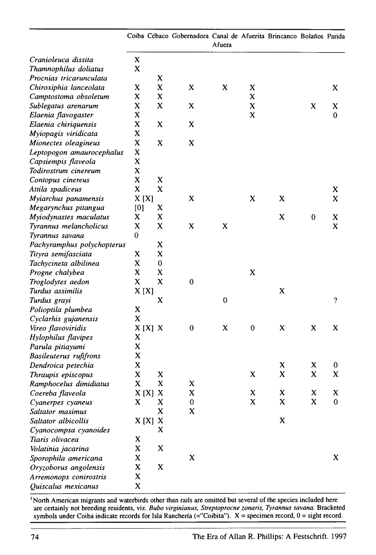|                            |          |             | Coiba Cébaco Gobernadora Canal de Afuerita Brincanco Bolaños Parida | Afuera      |             |             |   |          |
|----------------------------|----------|-------------|---------------------------------------------------------------------|-------------|-------------|-------------|---|----------|
| Cranioleuca dissita        | X        |             |                                                                     |             |             |             |   |          |
| Thamnophilus doliatus      | X        |             |                                                                     |             |             |             |   |          |
| Procnias tricarunculata    |          | X           |                                                                     |             |             |             |   |          |
| Chiroxiphia lanceolata     | x        | X           | x                                                                   | X           | x           |             |   | X        |
| Camptostoma obsoletum      | x        | X           |                                                                     |             | X           |             |   |          |
| Sublegatus arenarum        | x        | X           | X                                                                   |             | X           |             | X | x        |
| Elaenia flavogaster        | X        |             |                                                                     |             | X           |             |   | 0        |
| Elaenia chiriquensis       | X        | X           | X                                                                   |             |             |             |   |          |
| Myiopagis viridicata       | X        |             |                                                                     |             |             |             |   |          |
| Mionectes oleagineus       | X        | x           | X                                                                   |             |             |             |   |          |
| Leptopogon amaurocephalus  | X        |             |                                                                     |             |             |             |   |          |
| Capsiempis flaveola        | X        |             |                                                                     |             |             |             |   |          |
| Todirostrum cinereum       | x        |             |                                                                     |             |             |             |   |          |
| Contopus cinereus          | x        | x           |                                                                     |             |             |             |   |          |
| Attila spadiceus           | X        | X           |                                                                     |             |             |             |   | X        |
| Myiarchus panamensis       | X [X]    |             | X                                                                   |             | $\mathbf X$ | $\mathbf X$ |   | X        |
| Megarynchus pitangua       | [0]      | X           |                                                                     |             |             |             |   |          |
| Myiodynastes maculatus     | x        | X           |                                                                     |             |             | X           | 0 | X        |
| Tyrannus melancholicus     | X        | X           | x                                                                   | X           |             |             |   | X        |
| Tyrannus savana            | 0        |             |                                                                     |             |             |             |   |          |
| Pachyramphus polychopterus |          | X           |                                                                     |             |             |             |   |          |
| Tityra semifasciata        | X        | X           |                                                                     |             |             |             |   |          |
| Tachycineta albilinea      | X        | 0           |                                                                     |             |             |             |   |          |
| Progne chalybea            | X        | X           |                                                                     |             | $\mathbf X$ |             |   |          |
| Troglodytes aedon          | X        | X           | $\bf{0}$                                                            |             |             |             |   |          |
| Turdus assimilis           | X[X]     |             |                                                                     |             |             | X           |   |          |
| Turdus grayi               |          | x           |                                                                     | $\mathbf 0$ |             |             |   | $\gamma$ |
| Polioptila plumbea         | X        |             |                                                                     |             |             |             |   |          |
| Cyclarhis gujanensis       | X        |             |                                                                     |             |             |             |   |          |
| Vireo flavoviridis         | $X[X]$ X |             | $\bf{0}$                                                            | X           | $\bf{0}$    | X           | X | X        |
| Hylophilus flavipes        | X        |             |                                                                     |             |             |             |   |          |
| Parula pitiayumi           | X        |             |                                                                     |             |             |             |   |          |
| Basileuterus rufifrons     | X        |             |                                                                     |             |             |             |   |          |
| Dendroica petechia         | X        |             |                                                                     |             |             | X           | x | 0        |
| Thraupis episcopus         | X        | X           |                                                                     |             | X           | $\mathbf x$ | X | X        |
| Ramphocelus dimidiatus     | X        | x           | X                                                                   |             |             |             |   |          |
| Coereba flaveola           | X[X]     | X           | X                                                                   |             | X           | X           | X | X        |
| Cyanerpes cyaneus          | X        | $\mathbf X$ | $\mathbf 0$                                                         |             | X           | X           | X | 0        |
| Saltator maximus           |          | X           | x                                                                   |             |             |             |   |          |
| Saltator albicollis        | $X[X]$ X |             |                                                                     |             |             | X           |   |          |
| Cyanocompsa cyanoides      |          | X           |                                                                     |             |             |             |   |          |
| Tiaris olivacea            | X        |             |                                                                     |             |             |             |   |          |
| Volatinia jacarina         | X        | X           |                                                                     |             |             |             |   |          |
| Sporophila americana       | X        |             | X                                                                   |             |             |             |   | X        |
| Oryzoborus angolensis      | X        | X           |                                                                     |             |             |             |   |          |
| Arremonops conirostris     | X        |             |                                                                     |             |             |             |   |          |
| Quiscalus mexicanus        | X        |             |                                                                     |             |             |             |   |          |
|                            |          |             |                                                                     |             |             |             |   |          |

1 North American migrants and waterbirds other than rails are omitted but several of the species included here are certainly not breeding residents, viz. *Bubo virginianus*, *Streptoprocne zonalis*, *Tyrannus savana*. Bracketed symbols under Coiba indicate records for Isla Ranchería (="Coibita"). X = specimen record, 0 = sight record.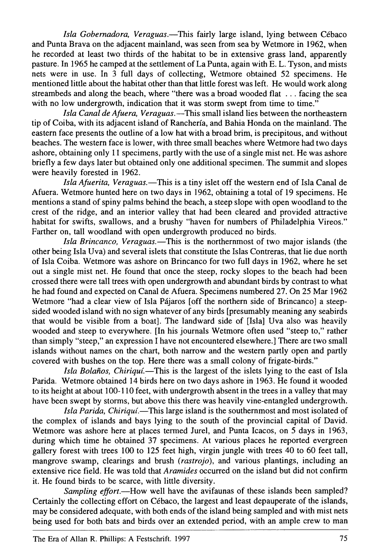*Isla Gobernadora, Veraguas.* — This fairly large island, lying between Cébaco and Punta Brava on the adjacent mainland, was seen from sea by Wetmore in 1962, when he recorded at least two-thirds of the habitat to be in extensive grass land, apparently pasture. In 1965 he camped at the settlement of La Punta, again with E.L. Tyson, and mist nets were in use. In 3 full days of collecting, Wetmore obtained 52 specimens. He mentioned little about the habitat other than that little forest was left. He would work along streambeds and along the beach, where "there was a broad wooded flat … facing the sea with no low undergrowth, indication that it was storm swept from time to time."

*Isla Canal de Afuera, Veraguas.* — This small island lies between the northeastern tip of Coiba, with its adjacent island of Ranchería, and Bahia Honda on the mainland. The eastern face presents the outline of a low hat with a broad brim, is precipitous, and without beaches. The western face is lower, with three small beaches where Wetmore had two days ashore, obtaining only 11 specimens, partly with the use of a single mist net. He was ashore briefly a few days later but obtained only one additional specimen. The summit and slopes were heavily forested in 1962.

*Isla Afuerita, Veraguas.* — This is a tiny islet off the western end of Isla Canal de Afuera. Wetmore hunted here on two days in 1962, obtaining a total of 19 specimens. He mentions a stand of spiny palms behind the beach, a steep slope with open woodland to the crest of the ridge, and an interior valley that had been cleared and provided attractive habitat for swifts, swallows, and a brushy "haven for numbers of Philadelphia Vireos." Farther on, tall woodland with open undergrowth produced no birds.

*Isla Brincanco, Veraguas.* — This is the northernmost of two major islands (the other being Isla Uva) and several islets that constitute the Islas Contreras, that lie due north of Isla Coiba. Wetmore was ashore on Brincanco for two full days in 1962, where he set out a single mist net. He found that once the steep, rocky slopes to the beach had been crossed there were tall trees with open undergrowth and abundant birds by contrast to what he had found and expected on Canal de Afuera. Specimens numbered 27. On 25 Mar 1962 Wetmore "had a clear view of Isla Pájaros [off the northern side of Brincanco] a steepsided wooded island with no sign whatever of any birds [presumably meaning any seabirds that would be visible from a boat]. The landward side of [Isla] Uva also was heavily wooded and steep to everywhere. [In his journals Wetmore often used "steep to," rather than simply "steep," an expression I have not encountered elsewhere.] There are two small islands without names on the chart, both narrow and the western partly open and partly covered with bushes on the top. Here there was a small colony of frigate-birds."

*Isla Bolaños, Chiriquí.* — This is the largest of the islets lying to the east of Isla Parida. Wetmore obtained 14 birds here on two days ashore in 1963. He found it wooded to its height at about 100–110 feet, with undergrowth absent in the trees in a valley that may have been swept by storms, but above this there was heavily vine-entangled undergrowth.

*Isla Parida, Chiriquí.* — This large island is the southernmost and most isolated of the complex of islands and bays lying to the south of the provincial capital of David. Wetmore was ashore here at places termed Jurel, and Punta Icacos, on 5 days in 1963, during which time he obtained 37 specimens. At various places he reported evergreen gallery forest with trees 100 to 125 feet high, virgin jungle with trees 40 to 60 feet tall, mangrove swamp, clearings and brush (*rastrojo*), and various plantings, including an extensive rice field. He was told that *Aramides* occurred on the island but did not confirm it. He found birds to be scarce, with little diversity.

*Sampling effort.* — How well have the avifaunas of these islands been sampled? Certainly the collecting effort on Cébaco, the largest and least depauperate of the islands, may be considered adequate, with both ends of the island being sampled and with mist nets being used for both bats and birds over an extended period, with an ample crew to man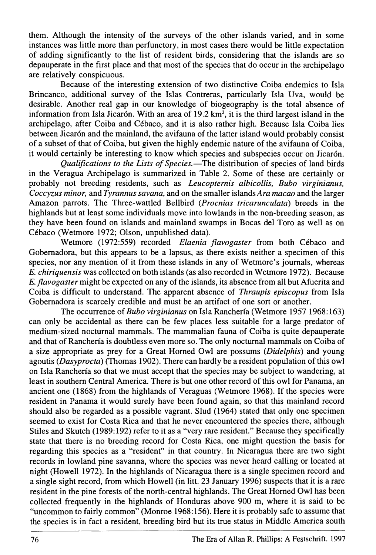them. Although the intensity of the surveys of the other islands varied, and in some instances was little more than perfunctory, in most cases there would be little expectation of adding significantly to the list of resident birds, considering that the islands are so depauperate in the first place and that most of the species that do occur in the archipelago are relatively conspicuous.

Because of the interesting extension of two distinctive Coiba endemics to Isla Brincanco, additional survey of the Islas Contreras, particularly Isla Uva, would be desirable. Another real gap in our knowledge of biogeography is the total absence of information from Isla Jicarón. With an area of  $19.2 \text{ km}^2$ , it is the third-largest island in the archipelago, after Coiba and Cébaco, and it is also rather high. Because Isla Coiba lies between Jicarón and the mainland, the avifauna of the latter island would probably consist of a subset of that of Coiba, but given the highly endemic nature of the avifauna of Coiba, it would certainly be interesting to know which species and subspecies occur on Jicarón.

*Qualifications to the Lists of Species.* — The distribution of species of land birds in the Veragua Archipelago is summarized in Table 2. Some of these are certainly or probably not breeding residents, such as *Leucopternis albicollis*, *Bubo virginianus*, *Coccyzus minor*, and *Tyrannus savana*, and on the smaller islands *Ara macao* and the larger Amazon parrots. The Three-wattled Bellbird (*Procnias tricarunculatus*) breeds in the highlands but at least some individuals move into lowlands in the non-breeding season, as they have been found on islands and mainland swamps in Bocas del Toro as well as on Cébaco (Wetmore 1972; Olson, unpublished data).

Wetmore (1972:559) recorded *Elaenia flavogaster* from both Cébaco and Gobernadora, but this appears to be a *lapsus*, as there exists neither a specimen of this species, nor any mention of it from these islands in any of Wetmore's journals, whereas *E. chiriquensis* was collected on both islands (as also recorded in Wetmore 1972). Because *E. flavogaster* might be expected on any of the islands, its absence from all but Afuerita and Coiba is difficult to understand. The apparent absence of *Thraupis episcopus* from Isla Gobernadora is scarcely credible and must be an artifact of one sort or another.

The occurrence of *Bubo virginianus* on Isla Ranchería (Wetmore 1957, 1968:163) can only be accidental as there can be few places less suitable for a large predator of medium-sized nocturnal mammals. The mammalian fauna of Coiba is quite depauperate and that of Ranchería is doubtless even more so. The only nocturnal mammals on Coiba of a size appropriate as prey for a Great Horned Owl are Possums (*Didelphis*) and young Agoutis (*Dasyprocta*) (Thomas 1902). There can hardly be a resident population of this owl on Isla Ranchería so that we must accept that the species may be subject to wandering, at least in southern Central America. There is but one other record of this owl for Panama, an ancient one (1868) from the highlands of Veraguas (Wetmore 1968). If the species were resident in Panama it would surely have been found again, so that this mainland record should also be regarded as a possible vagrant. Slud (1964) stated that only one specimen seemed to exist for Costa Rica and that he never encountered the species there, although Stiles and Skutch (1989:192) refer to it as a "very rare resident." Because they specifically state that there is no breeding record for Costa Rica, one might question the basis for regarding this species as a "resident" in that country. In Nicaragua there are two sight records in lowland pine savanna, where the species was never heard calling or located at night (Howell 1972). In the highlands of Nicaragua there is a single specimen record and a single sight record, from which Howell (*in litt.* 23 January 1996) suspects that it is a rare resident in the pine forests of the north-central highlands. The Great Horned Owl has been collected frequently in the highlands of Honduras above 900 m, where it is said to be "uncommon to fairly common" (Monroe 1968:156). Here it is probably safe to assume that the species is in fact a resident, breeding bird but its true status in Middle America south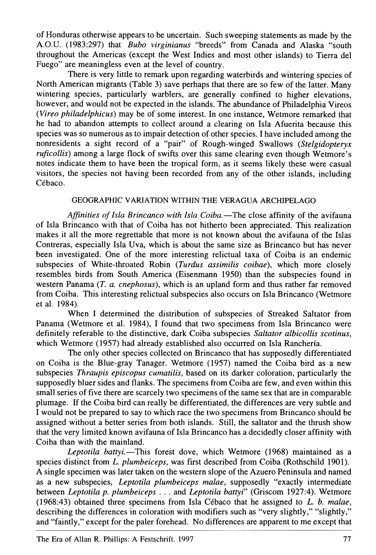of Honduras otherwise appears to be uncertain. Such sweeping statements as made by the A.O.U. (1983:297) that *Bubo virginianus* "breeds" from Canada and Alaska "south throughout the Americas (except the West Indies and most other islands) to Tierra del Fuego" are meaningless even at the level of country.

There is very little to remark upon regarding waterbirds and wintering species of North American migrants (Table 3) save perhaps that there are so few of the latter. Many wintering species, particularly warblers, are generally confined to higher elevations, however, and would not be expected in the islands. The abundance of Philadelphia Vireos (*Vireo philadelphicus*) may be of some interest. In one instance, Wetmore remarked that he had to abandon attempts to collect around a clearing on Isla Afuerita because this species was so numerous as to impair detection of other species. I have included among the nonresidents a sight record of a "pair" of Rough-winged Swallows (*Stelgidopteryx ruficollis*) among a large flock of swifts over this same clearing even though Wetmore's notes indicate them to have been the tropical form, as it seems likely these were casual visitors, the species not having been recorded from any of the other islands, including Cébaco.

### GEOGRAPHIC VARIATION WITHIN THE VERAGUA ARCHIPELAGO

*Affinities of Isla Brincanco with Isla Coiba.* — The close affinity of the avifauna of Isla Brincanco with that of Coiba has not hitherto been appreciated. This realization makes it all the more regrettable that more is not known about the avifauna of the Islas Contreras, especially Isla Uva, which is about the same size as Brincanco but has never been investigated. One of the more interesting relictual taxa of Coiba is an endemic subspecies of White-throated Robin (*Turdus assimilis coibae*), which more closely resembles birds from South America (Eisenmann 1950) than the subspecies found in western Panama (*T. a. cnephosus*), which is an upland form and thus rather far removed from Coiba. This interesting relictual subspecies also occurs on Isla Brincanco (Wetmore *et al.* 1984).

When I determined the distribution of subspecies of Streaked Saltator from Panama (Wetmore *et al.* 1984), I found that two specimens from Isla Brincanco were definitely referable to the distinctive, dark Coiba subspecies *Saltator albicollis scotinus*, which Wetmore (1957) had already established also occurred on Isla Ranchería.

The only other species collected on Brincanco that has supposedly differentiated on Coiba is the Blue-gray Tanager. Wetmore (1957) named the Coiba bird as a new subspecies *Thraupis episcopus cumatilis*, based on its darker coloration, particularly the supposedly bluer sides and flanks. The specimens from Coiba are few, and even within this small series of five there are scarcely two specimens of the same sex that are in comparable plumage. If the Coiba bird can really be differentiated, the differences are very subtle and I would not be prepared to say to which race the two specimens from Brincanco should be assigned without a better series from both islands. Still, the saltator and the thrush show that the very limited known avifauna of Isla Brincanco has a decidedly closer affinity with Coiba than with the mainland.

Leptotila battyi.—This forest dove, which Wetmore (1968) maintained as a species distinct from *L. plumbeiceps*, was first described from Coiba (Rothschild 1901). A single specimen was later taken on the western slope of the Azuero Peninsula and named as a new subspecies, *Leptotila plumbeiceps malae*, supposedly "exactly intermediate between *Leptotila p. plumbeiceps …* and *Leptotila battyi*" (Griscom 1927:4). Wetmore (1968:43) obtained three specimens from Isla Cébaco that he assigned to *L. b. malae*, describing the differences in coloration with modifiers such as "very slightly," "slightly," and "faintly", except for the paler forehead. No differences are apparent to me except that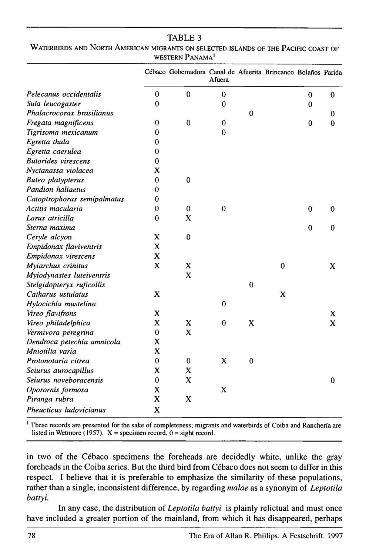### **TABLE 3**

#### Waterbirds and North American migrants on selected islands of the Pacific coast of WESTERN PANAMA<sup>1</sup>

|                             |              | Cébaco Gobernadora Canal de Afuerita Brincanco Bolaños Parida | Afuera       |              |          |              |             |
|-----------------------------|--------------|---------------------------------------------------------------|--------------|--------------|----------|--------------|-------------|
| Pelecanus occidentalis      | 0            | $\mathbf 0$                                                   | $\bf{0}$     |              |          | $\mathbf{0}$ | $\mathbf 0$ |
| Sula leucogaster            | $\mathbf 0$  |                                                               | $\mathbf{0}$ |              |          | $\bf{0}$     |             |
| Phalacrocorax brasilianus   |              |                                                               |              | $\mathbf 0$  |          |              | 0           |
| Fregata magnificens         | 0            | $\mathbf 0$                                                   | $\bf{0}$     |              |          | $\bf{0}$     | 0           |
| Tigrisoma mexicanum         | $\mathbf{0}$ |                                                               | $\bf{0}$     |              |          |              |             |
| Egretta thula               | $\bf{0}$     |                                                               |              |              |          |              |             |
| Egretta caerulea            | 0            |                                                               |              |              |          |              |             |
| <b>Butorides</b> virescens  | 0            |                                                               |              |              |          |              |             |
| Nyctanassa violacea         | x            |                                                               |              |              |          |              |             |
| <b>Buteo</b> platypterus    | $\bf{0}$     | $\mathbf 0$                                                   |              |              |          |              |             |
| Pandion haliaetus           | 0            |                                                               |              |              |          |              |             |
| Catoptrophorus semipalmatus | 0            |                                                               |              |              |          |              |             |
| Actitis macularia           | 0            | 0                                                             | $\bf{0}$     |              |          | $\mathbf 0$  | $\mathbf 0$ |
| Larus atricilla             | $\bf{0}$     | X                                                             |              |              |          |              |             |
| Sterna maxima               |              |                                                               |              |              |          | $\bf{0}$     | $\bf{0}$    |
| Ceryle alcyon               | x            | $\bf{0}$                                                      |              |              |          |              |             |
| Empidonax flaviventris      | x            |                                                               |              |              |          |              |             |
| Empidonax virescens         | X            |                                                               |              |              |          |              |             |
| Myiarchus crinitus          | X            | X                                                             |              |              | $\Omega$ |              | X           |
| Myiodynastes luteiventris   |              | $\mathbf x$                                                   |              |              |          |              |             |
| Stelgidopteryx ruficollis   |              |                                                               |              | $\mathbf{0}$ |          |              |             |
| Catharus ustulatus          | X            |                                                               |              |              | X        |              |             |
| Hylocichla mustelina        |              |                                                               | $\mathbf{0}$ |              |          |              |             |
| Vireo flavifrons            | X            |                                                               |              |              |          |              | X           |
| Vireo philadelphica         | x            | X                                                             | $\bf{0}$     | X            |          |              | X           |
| Vermivora peregrina         | $\mathbf 0$  | X                                                             |              |              |          |              |             |
| Dendroca petechia amnicola  | X            |                                                               |              |              |          |              |             |
| Mniotilta varia             | X            |                                                               |              |              |          |              |             |
| Protonotaria citrea         | $\mathbf 0$  | $\bf{0}$                                                      | $\mathbf{x}$ | $\Omega$     |          |              |             |
| Seiurus aurocapillus        | X            | X                                                             |              |              |          |              |             |
| Seiurus noveboracensis      | 0            | X                                                             |              |              |          |              | 0           |
| Oporornis formosa           | X            |                                                               | X            |              |          |              |             |
| Piranga rubra               | X            | X                                                             |              |              |          |              |             |
| Pheucticus ludovicianus     | X            |                                                               |              |              |          |              |             |

<sup>1</sup> These records are presented for the sake of completeness; migrants and waterbirds of Coiba and Ranchería are listed in Wetmore (1957).  $X =$  specimen record,  $0 =$  sight record.

in two of the Cébaco specimens the foreheads are decidedly white, unlike the gray foreheads in the Coiba series. But the third bird from Cébaco does not seem to differ in this respect. I believe that it is preferable to emphasize the similarity of these populations, rather than a single, inconsistent difference, by regarding *malae* as a synonym of *Leptotila battyi.*

In any case, the distribution of *Leptotila battyi* is plainly relictual and must once have included a greater portion of the mainland, from which it has disappeared, perhaps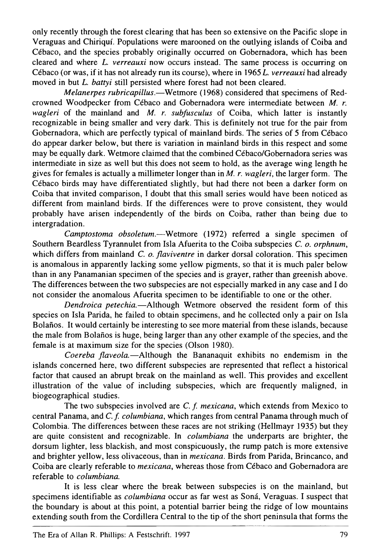only recently through the forest clearing that has been so extensive on the Pacific slope in Veraguas and Chiriquí. Populations were marooned on the outlying islands of Coiba and Cébaco, and the species probably originally occurred on Gobernadora, which has been cleared and where *L. verreauxi* now occurs instead. The same process is occurring on Cébaco (or was, if it has not already run its course), where in 1965 *L. verreauxi* had already moved in but *L. battyi* still persisted where forest had not been cleared.

*Melanerpes rubricapillus.* — Wetmore (1968) considered that specimens of Redcrowned Woodpecker from Cébaco and Gobernadora were intermediate between *M. r. wagleri* of the mainland and *M. r. subfusculus* of Coiba, which latter is instantly recognizable in being smaller and very dark. This is definitely not true for the pair from Gobernadora, which are perfectly typical of mainland birds. The series of 5 from Cébaco do appear darker below, but there is variation in mainland birds in this respect and some may be equally dark. Wetmore claimed that the combined Cébaco/Gobernadora series was intermediate in size as well but this does not seem to hold, as the average wing length he gives for females is actually a millimeter longer than in *M. r. wagleri,* the larger form. The Cébaco birds may have differentiated slightly, but had there not been a darker form on Coiba that invited comparison, I doubt that this small series would have been noticed as different from mainland birds. If the differences were to prove consistent, they would probably have arisen independently of the birds on Coiba, rather than being due to intergradation.

*Camptostoma obsoletum.* — Wetmore (1972) referred a single specimen of Southern Beardless-Tyrannulet from Isla Afuerita to the Coiba subspecies *C. o. orphnum*, which differs from mainland *C. o. flaviventre* in darker dorsal coloration. This specimen is anomalous in apparently lacking some yellow pigments, so that it is much paler below than in any Panamanian specimen of the species and is grayer, rather than greenish above. The differences between the two subspecies are not especially marked in any case and I do not consider the anomalous Afuerita specimen to be identifiable to one or the other.

*Dendroica petechia.* — Although Wetmore observed the resident form of this species on Isla Panda, he failed to obtain specimens, and he collected only a pair on Isla Bolaños. It would certainly be interesting to see more material from these islands, because the male from Bolaños is huge, being larger than any other example of the species, and the female is at maximum size for the species (Olson 1980).

*Coereba flaveola.* — Although the Bananaquit exhibits no endemism in the islands concerned here, two different subspecies are represented that reflect a historical factor that caused an abrupt break on the mainland as well. This provides and excellent illustration of the value of including subspecies, which are frequently maligned, in biogeographical studies.

The two subspecies involved are *C. f. mexicana*, which extends from Mexico to central Panama, and *C. f. columbiana*, which ranges from central Panama through much of Colombia. The differences between these races are not striking (Hellmayr 1935) but they are quite consistent and recognizable. In *columbiana* the underparts are brighter, the dorsum lighter, less blackish, and most conspicuously, the rump patch is more extensive and brighter yellow, less olivaceous, than in *mexicana*. Birds from Parida, Brincanco, and Coiba are clearly referable to *mexicana*, whereas those from Cébaco and Gobernadora are referable to *columbiana*.

It is less clear where the break between subspecies is on the mainland, but specimens identifiable as *columbiana* occur as far west as Soná, Veraguas. I suspect that the boundary is about at this point, a potential barrier being the ridge of low mountains extending south from the Cordillera Central to the tip of the short peninsula that forms the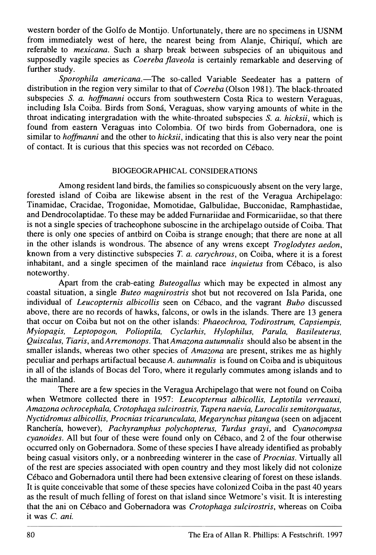western border of the Golfo de Montijo. Unfortunately, there are no specimens in USNM from immediately west of here, the nearest being from Alanje, Chiriquí, which are referable to *mexicana*. Such a sharp break between subspecies of an ubiquitous and supposedly vagile species as *Coereba flaveola* is certainly remarkable and deserving of further study.

*Sporophila americana.* — The so-called Variable Seedeater has a pattern of distribution in the region very similar to that of *Coereba* (Olson 1981). The black-throated subspecies *S. a. hoffmanni* occurs from southwestern Costa Rica to western Veraguas, including Isla Coiba. Birds from Soná, Veraguas, show varying amounts of white in the throat indicating intergradation with the white-throated subspecies *S. a. hicksii*, which is found from eastern Veraguas into Colombia. Of two birds from Gobernadora, one is similar to *hoffmanni* and the other to *hicksii*, indicating that this is also very near the point of contact. It is curious that this species was not recorded on Cébaco.

#### BIOGEOGRAPHICAL CONSIDERATIONS

Among resident land birds, the families so conspicuously absent on the very large, forested island of Coiba are likewise absent in the rest of the Veragua Archipelago: Tinamidae, Cracidae, Trogonidae, Momotidae, Galbulidae, Bucconidae, Ramphastidae, and Dendrocolaptidae. To these may be added Furnariidae and Formicariidae, so that there is not a single species of tracheophone suboscine in the archipelago outside of Coiba. That there is only one species of antbird on Coiba is strange enough; that there are none at all in the other islands is wondrous. The absence of any wrens except *Troglodytes aedon*, known from a very distinctive subspecies *T. a. carychrous*, on Coiba, where it is a forest inhabitant, and a single specimen of the mainland race *inquietus* from Cébaco, is also noteworthy.

Apart from the crab-eating *Buteogallus* which may be expected in almost any coastal situation, a single *Buteo magnirostris* shot but not recovered on Isla Parida, one individual of *Leucopternis albicollis* seen on Cébaco, and the vagrant *Bubo* discussed above, there are no records of hawks, falcons, or owls in the islands. There are 13 genera that occur on Coiba but not on the other islands: *Phaeochroa*, *Todirostrum*, *Capsiempis*, *Myiopagis*, *Leptopogon*, *Polioptila*, *Cyclarhis*, *Hylophilus*, *Parula*, *Basileuterus*, *Quiscalus*, *Tiaris*, and *Arremonops*. That *Amazona autumnalis* should also be absent in the smaller islands, whereas two other species of *Amazona* are present, strikes me as highly peculiar and perhaps artifactual because *A. autumnalis* is found on Coiba and is ubiquitous in all of the islands of Bocas del Toro, where it regularly commutes among islands and to the mainland.

There are a few species in the Veragua Archipelago that were not found on Coiba when Wetmore collected there in 1957: *Leucopternus albicollis*, *Leptotila verreauxi*, *Amazona ochrocephala*, *Crotophaga sulcirostris*, *Tapera naevia*, *Lurocalis semitorquatus*, *Nyctidromus albicollis*, *Procnias tricarunculatus*, *Megarynchus pitangua* (seen on adjacent Ranchería, however), *Pachyramphus polychopterus*, *Turdus grayi*, and *Cyanocompsa cyanoides*. All but four of these were found only on Cébaco, and 2 of the four otherwise occurred only on Gobernadora. Some of these species I have already identified as probably being casual visitors only, or a nonbreeding winterer in the case of *Procnias*. Virtually all of the rest are species associated with open country and they most likely did not colonize Cébaco and Gobernadora until there had been extensive clearing of forest on these islands. It is quite conceivable that some of these species have colonized Coiba in the past 40 years as the result of much felling of forest on that island since Wetmore's visit. It is interesting that the ani on Cébaco and Gobernadora was *Crotophaga sulcirostris*, whereas on Coiba it was *C. ani*.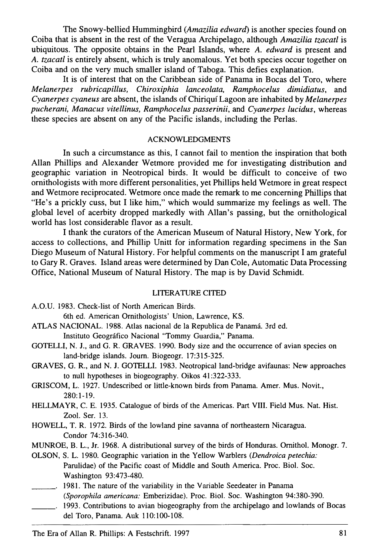The Snowy-bellied Hummingbird (*Amazilia edward*) is another species found on Coiba that is absent in the rest of the Veragua Archipelago, although *Amazilia tzacatl* is ubiquitous. The opposite obtains in the Pearl Islands, where *A. edward* is present and *A. tzacatl* is entirely absent, which is truly anomalous. Yet both species occur together on Coiba and on the very much smaller island of Taboga. This defies explanation.

It is of interest that on the Caribbean side of Panama in Bocas del Toro, where *Melanerpes rubricapillus*, *Chiroxiphia lanceolata*, *Ramphocelus dimidiatus*, and *Cyanerpes cyaneus* are absent, the islands of Chiriquí Lagoon are inhabited by *Melanerpes pucherani*, *Manacus vitellinus*, *Ramphocelus passerinii*, and *Cyanerpes lucidus*, whereas these species are absent on any of the Pacific islands, including the Perlas.

#### ACKNOWLEDGMENTS

In such a circumstance as this, I cannot fail to mention the inspiration that both Allan Phillips and Alexander Wetmore provided me for investigating distribution and geographic variation in Neotropical birds. It would be difficult to conceive of two ornithologists with more different personalities, yet Phillips held Wetmore in great respect and Wetmore reciprocated. Wetmore once made the remark to me concerning Phillips that "He's a prickly cuss, but I like him," which would summarize my feelings as well. The global level of acerbity dropped markedly with Allan's passing, but the ornithological world has lost considerable flavor as a result.

I thank the curators of the American Museum of Natural History, New York, for access to collections, and Phillip Unitt for information regarding specimens in the San Diego Museum of Natural History. For helpful comments on the manuscript I am grateful to Gary R. Graves. Island areas were determined by Dan Cole, Automatic Data Processing Office, National Museum of Natural History. The map is by David Schmidt.

#### LITERATURE CITED

A.O.U. 1983. Check-list of North American Birds.

6th ed. American Ornithologists' Union, Lawrence, KS.

ATLAS NACIONAL. 1988. *Atlas Nacional de la República de Panamá.* 3rd ed.

Instituto Geográfico Nacional "Tommy Guardia," Panama.

- GOTELLI, N. J., and G. R. GRAVES. 1990. Body size and the occurrence of avian species on land-bridge islands. *Journ. Biogeogr.*, **17**: 315–325.
- GRAVES, G. R., and N. J. GOTELLI. 1983. Neotropical land-bridge avifaunas: New approaches to null hypotheses in biogeography. *Oikos*, **41**: 322–333.
- GRISCOM, L. 1927. Undescribed or little-known birds from Panama. *Amer. Mus. Novit.*, **280**: 1–19.
- HELLMAYR, C.E. 1935. Catalogue of birds of the Americas. Part VIII. *Field Mus. Nat. Hist. Zool. Ser.*, **13**.
- HOWELL, T.R. 1972. Birds of the lowland pine savanna of northeastern Nicaragua. *Condor*, **74**: 316–340.
- MUNROE, B.L., Jr. 1968. A distributional survey of the birds of Honduras. *Ornithol. Monogr.*, **7**.
- OLSON, S.L. 1980. Geographic variation in the Yellow Warblers (*Dendroica petechia*: Parulidae) of the Pacific coast of Middle and South America. *Proc. Biol. Soc. Washington*, **93**: 473–480.
- \_\_\_\_\_\_. 1981. The nature of the variability in the Variable Seedeater in Panama (*Sporophila americana*: Emberizidae). *Proc. Biol. Soc. Washington*, **94**: 380–390. 1993. Contributions to avian biogeography from the archipelago and lowlands of Bocas del Toro, Panama. *Auk*, **110**: 100–108.
- The Era of Allan R. Phillips: A Festschrift. 1997 81